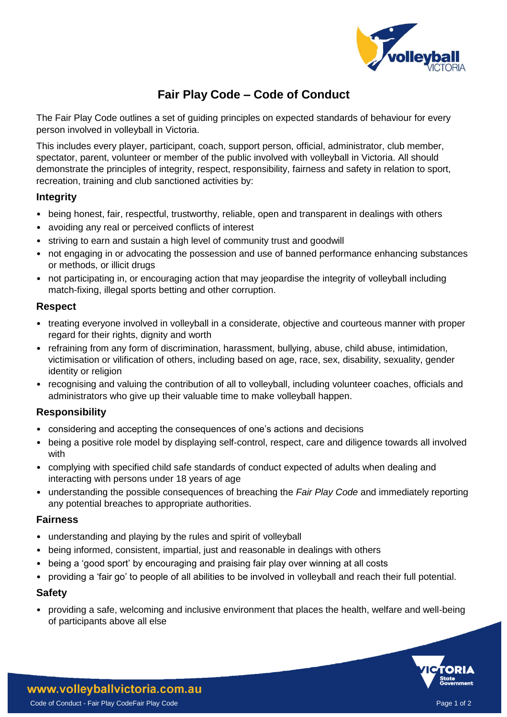

# **Fair Play Code – Code of Conduct**

The Fair Play Code outlines a set of guiding principles on expected standards of behaviour for every person involved in volleyball in Victoria.

This includes every player, participant, coach, support person, official, administrator, club member, spectator, parent, volunteer or member of the public involved with volleyball in Victoria. All should demonstrate the principles of integrity, respect, responsibility, fairness and safety in relation to sport, recreation, training and club sanctioned activities by:

# **Integrity**

- being honest, fair, respectful, trustworthy, reliable, open and transparent in dealings with others
- avoiding any real or perceived conflicts of interest
- striving to earn and sustain a high level of community trust and goodwill
- not engaging in or advocating the possession and use of banned performance enhancing substances or methods, or illicit drugs
- not participating in, or encouraging action that may jeopardise the integrity of volleyball including match-fixing, illegal sports betting and other corruption.

# **Respect**

- treating everyone involved in volleyball in a considerate, objective and courteous manner with proper regard for their rights, dignity and worth
- refraining from any form of discrimination, harassment, bullying, abuse, child abuse, intimidation, victimisation or vilification of others, including based on age, race, sex, disability, sexuality, gender identity or religion
- recognising and valuing the contribution of all to volleyball, including volunteer coaches, officials and administrators who give up their valuable time to make volleyball happen.

# **Responsibility**

- considering and accepting the consequences of one's actions and decisions
- being a positive role model by displaying self-control, respect, care and diligence towards all involved with
- complying with specified child safe standards of conduct expected of adults when dealing and interacting with persons under 18 years of age
- understanding the possible consequences of breaching the *Fair Play Code* and immediately reporting any potential breaches to appropriate authorities.

# **Fairness**

- understanding and playing by the rules and spirit of volleyball
- being informed, consistent, impartial, just and reasonable in dealings with others
- being a 'good sport' by encouraging and praising fair play over winning at all costs
- providing a 'fair go' to people of all abilities to be involved in volleyball and reach their full potential.

# **Safety**

• providing a safe, welcoming and inclusive environment that places the health, welfare and well-being of participants above all else